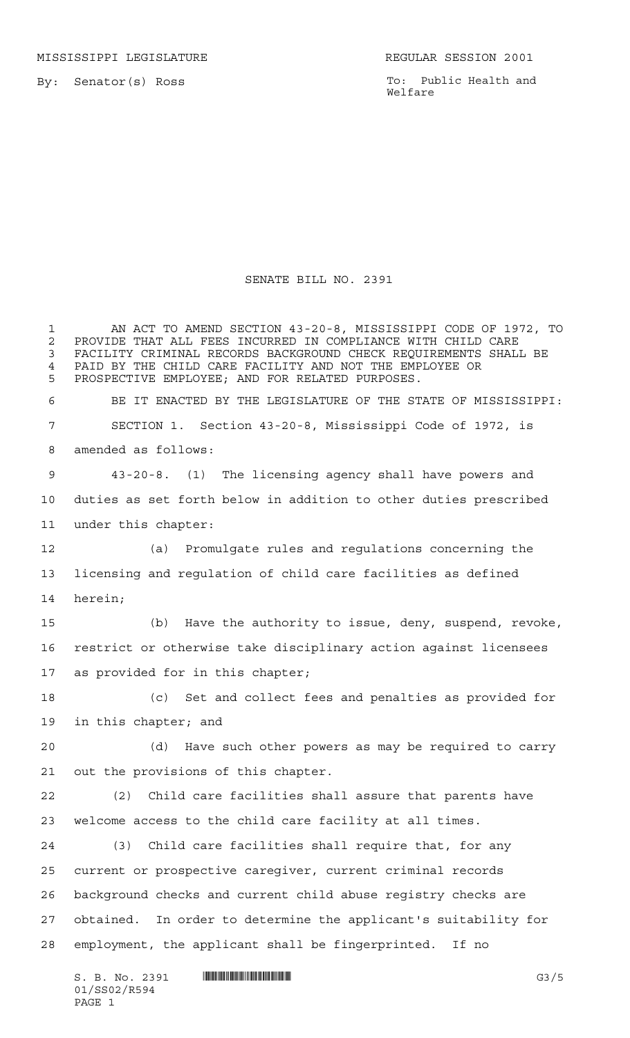MISSISSIPPI LEGISLATURE **REGULAR SESSION 2001** 

By: Senator(s) Ross

To: Public Health and Welfare

## SENATE BILL NO. 2391

 AN ACT TO AMEND SECTION 43-20-8, MISSISSIPPI CODE OF 1972, TO 2 PROVIDE THAT ALL FEES INCURRED IN COMPLIANCE WITH CHILD CARE<br>3 FACILITY CRIMINAL RECORDS BACKGROUND CHECK REOUIREMENTS SHALL FACILITY CRIMINAL RECORDS BACKGROUND CHECK REQUIREMENTS SHALL BE 4 PAID BY THE CHILD CARE FACILITY AND NOT THE EMPLOYEE OR<br>5 PROSPECTIVE EMPLOYEE: AND FOR RELATED PURPOSES PROSPECTIVE EMPLOYEE; AND FOR RELATED PURPOSES. BE IT ENACTED BY THE LEGISLATURE OF THE STATE OF MISSISSIPPI: SECTION 1. Section 43-20-8, Mississippi Code of 1972, is amended as follows: 43-20-8. (1) The licensing agency shall have powers and duties as set forth below in addition to other duties prescribed under this chapter: (a) Promulgate rules and regulations concerning the licensing and regulation of child care facilities as defined herein; (b) Have the authority to issue, deny, suspend, revoke, restrict or otherwise take disciplinary action against licensees as provided for in this chapter; (c) Set and collect fees and penalties as provided for in this chapter; and (d) Have such other powers as may be required to carry out the provisions of this chapter. (2) Child care facilities shall assure that parents have welcome access to the child care facility at all times. (3) Child care facilities shall require that, for any current or prospective caregiver, current criminal records background checks and current child abuse registry checks are obtained. In order to determine the applicant's suitability for employment, the applicant shall be fingerprinted. If no

 $S. B. No. 2391$   $\blacksquare$   $\blacksquare$   $\blacksquare$   $\blacksquare$   $\blacksquare$   $\blacksquare$   $\blacksquare$   $\blacksquare$   $\blacksquare$   $\blacksquare$   $\blacksquare$   $\blacksquare$   $\blacksquare$   $\blacksquare$   $\blacksquare$   $\blacksquare$   $\blacksquare$   $\blacksquare$   $\blacksquare$   $\blacksquare$   $\blacksquare$   $\blacksquare$   $\blacksquare$   $\blacksquare$   $\blacksquare$   $\blacksquare$   $\blacksquare$   $\blacksquare$   $\blacksquare$   $\blacks$ 01/SS02/R594 PAGE 1